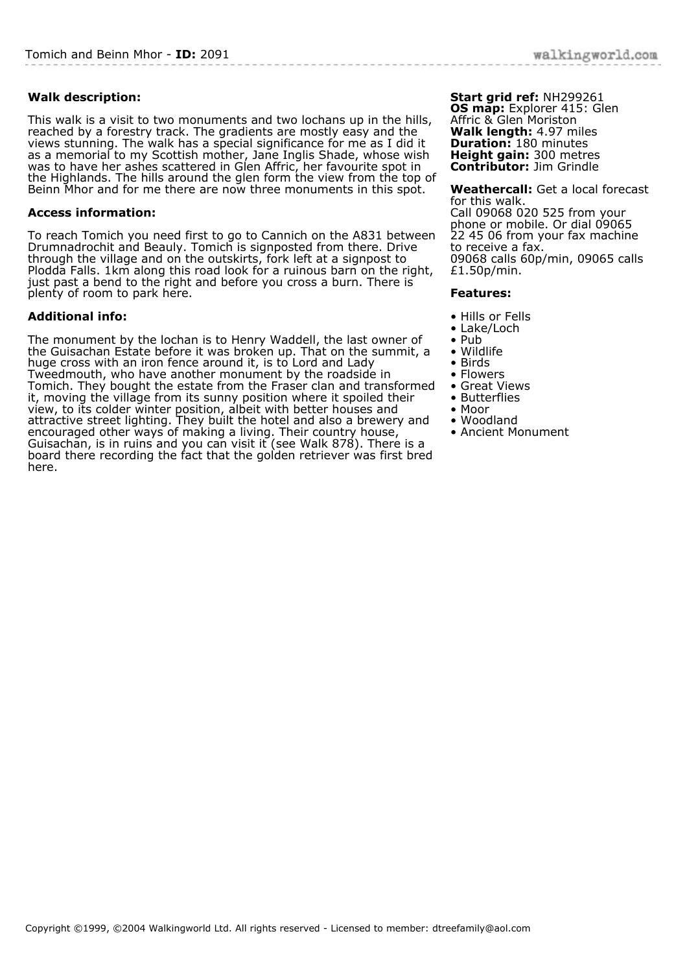## **Walk description:**

This walk is a visit to two monuments and two lochans up in the hills, reached by a forestry track. The gradients are mostly easy and the views stunning. The walk has a special significance for me as I did it as a memorial to my Scottish mother, Jane Inglis Shade, whose wish was to have her ashes scattered in Glen Affric, her favourite spot in the Highlands. The hills around the glen form the view from the top of Beinn Mhor and for me there are now three monuments in this spot.

## **Access information:**

To reach Tomich you need first to go to Cannich on the A831 between Drumnadrochit and Beauly. Tomich is signposted from there. Drive through the village and on the outskirts, fork left at a signpost to Plodda Falls. 1km along this road look for a ruinous barn on the right, just past a bend to the right and before you cross a burn. There is plenty of room to park here.

## **Additional info:**

The monument by the lochan is to Henry Waddell, the last owner of the Guisachan Estate before it was broken up. That on the summit, a huge cross with an iron fence around it, is to Lord and Lady Tweedmouth, who have another monument by the roadside in Tomich. They bought the estate from the Fraser clan and transformed it, moving the village from its sunny position where it spoiled their view, to its colder winter position, albeit with better houses and attractive street lighting. They built the hotel and also a brewery and encouraged other ways of making a living. Their country house, Guisachan, is in ruins and you can visit it (see Walk 878). There is a board there recording the fact that the golden retriever was first bred here.

**Start grid ref:** NH299261 **OS map:** Explorer 415: Glen Affric & Glen Moriston **Walk length:** 4.97 miles **Duration:** 180 minutes **Height gain:** 300 metres **Contributor:** Jim Grindle

**Weathercall:** Get a local forecast for this walk. Call 09068 020 525 from your phone or mobile. Or dial 09065 22 45 06 from your fax machine to receive a fax. 09068 calls 60p/min, 09065 calls £1.50p/min.

## **Features:**

- Hills or Fells
- Lake/Loch
- Pub
- Wildlife
- Birds
- Flowers • Great Views
- Butterflies
- Moor
- Woodland
- Ancient Monument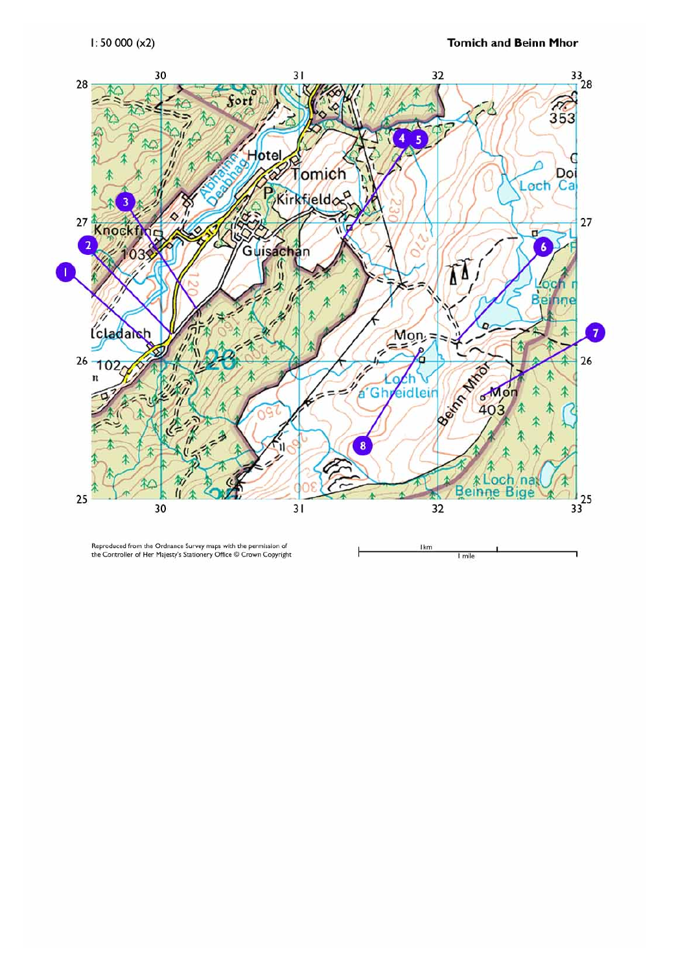

Reproduced from the Ordnance Survey maps with the permission of<br>the Controller of Her Majesty's Stationery Office © Crown Copyright

Ikm 1 mile